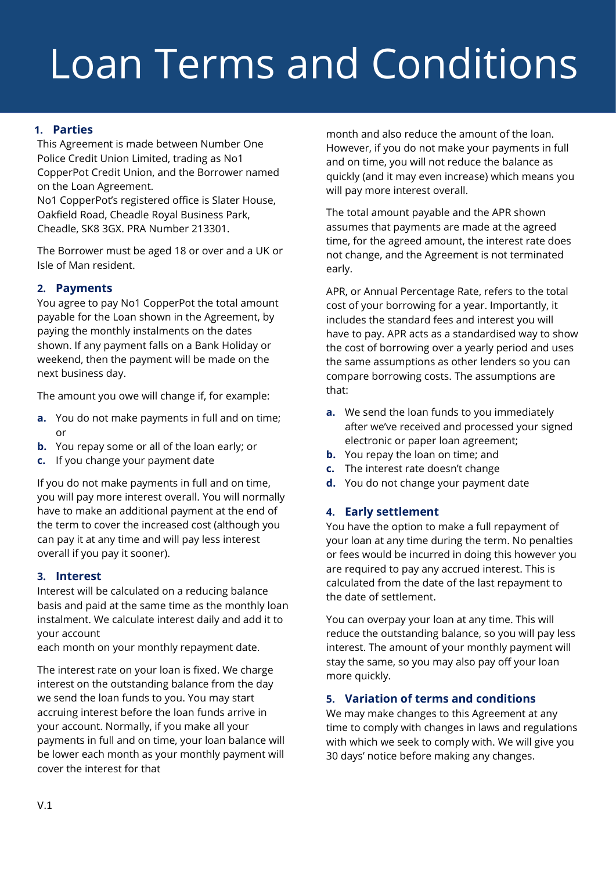# Loan Terms and Conditions

# **1. Parties**

This Agreement is made between Number One Police Credit Union Limited, trading as No1 CopperPot Credit Union, and the Borrower named on the Loan Agreement.

No1 CopperPot's registered office is Slater House, Oakfield Road, Cheadle Royal Business Park, Cheadle, SK8 3GX. PRA Number 213301.

The Borrower must be aged 18 or over and a UK or Isle of Man resident.

# **2. Payments**

You agree to pay No1 CopperPot the total amount payable for the Loan shown in the Agreement, by paying the monthly instalments on the dates shown. If any payment falls on a Bank Holiday or weekend, then the payment will be made on the next business day.

The amount you owe will change if, for example:

- **a.** You do not make payments in full and on time; or
- **b.** You repay some or all of the loan early; or
- **c.** If you change your payment date

If you do not make payments in full and on time, you will pay more interest overall. You will normally have to make an additional payment at the end of the term to cover the increased cost (although you can pay it at any time and will pay less interest overall if you pay it sooner).

# **3. Interest**

Interest will be calculated on a reducing balance basis and paid at the same time as the monthly loan instalment. We calculate interest daily and add it to your account

each month on your monthly repayment date.

The interest rate on your loan is fixed. We charge interest on the outstanding balance from the day we send the loan funds to you. You may start accruing interest before the loan funds arrive in your account. Normally, if you make all your payments in full and on time, your loan balance will be lower each month as your monthly payment will cover the interest for that

month and also reduce the amount of the loan. However, if you do not make your payments in full and on time, you will not reduce the balance as quickly (and it may even increase) which means you will pay more interest overall.

The total amount payable and the APR shown assumes that payments are made at the agreed time, for the agreed amount, the interest rate does not change, and the Agreement is not terminated early.

APR, or Annual Percentage Rate, refers to the total cost of your borrowing for a year. Importantly, it includes the standard fees and interest you will have to pay. APR acts as a standardised way to show the cost of borrowing over a yearly period and uses the same assumptions as other lenders so you can compare borrowing costs. The assumptions are that:

- **a.** We send the loan funds to you immediately after we've received and processed your signed electronic or paper loan agreement;
- **b.** You repay the loan on time; and
- **c.** The interest rate doesn't change
- **d.** You do not change your payment date

# **4. Early settlement**

You have the option to make a full repayment of your loan at any time during the term. No penalties or fees would be incurred in doing this however you are required to pay any accrued interest. This is calculated from the date of the last repayment to the date of settlement.

You can overpay your loan at any time. This will reduce the outstanding balance, so you will pay less interest. The amount of your monthly payment will stay the same, so you may also pay off your loan more quickly.

# **5. Variation of terms and conditions**

We may make changes to this Agreement at any time to comply with changes in laws and regulations with which we seek to comply with. We will give you 30 days' notice before making any changes.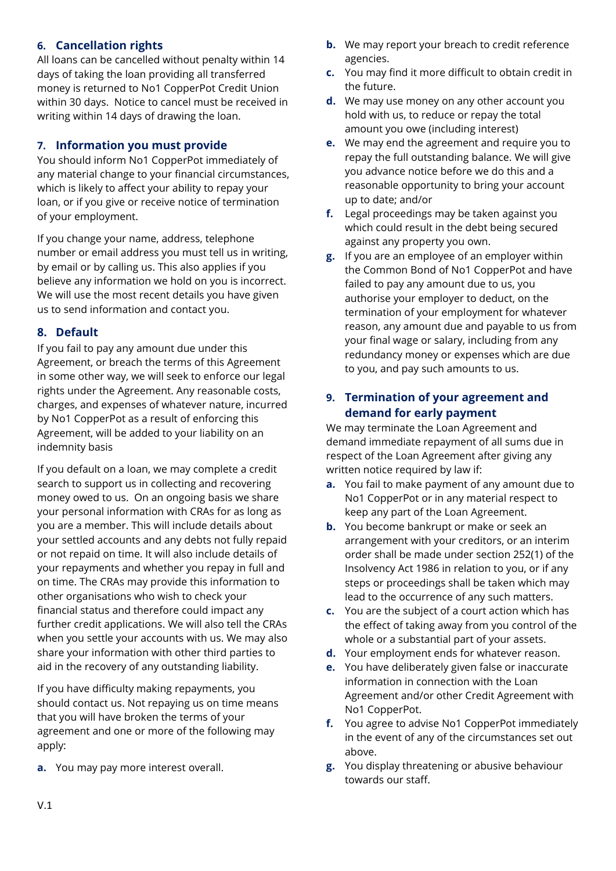# **6. Cancellation rights**

All loans can be cancelled without penalty within 14 days of taking the loan providing all transferred money is returned to No1 CopperPot Credit Union within 30 days. Notice to cancel must be received in writing within 14 days of drawing the loan.

# **7. Information you must provide**

You should inform No1 CopperPot immediately of any material change to your financial circumstances, which is likely to affect your ability to repay your loan, or if you give or receive notice of termination of your employment.

If you change your name, address, telephone number or email address you must tell us in writing, by email or by calling us. This also applies if you believe any information we hold on you is incorrect. We will use the most recent details you have given us to send information and contact you.

# **8. Default**

If you fail to pay any amount due under this Agreement, or breach the terms of this Agreement in some other way, we will seek to enforce our legal rights under the Agreement. Any reasonable costs, charges, and expenses of whatever nature, incurred by No1 CopperPot as a result of enforcing this Agreement, will be added to your liability on an indemnity basis

If you default on a loan, we may complete a credit search to support us in collecting and recovering money owed to us. On an ongoing basis we share your personal information with CRAs for as long as you are a member. This will include details about your settled accounts and any debts not fully repaid or not repaid on time. It will also include details of your repayments and whether you repay in full and on time. The CRAs may provide this information to other organisations who wish to check your financial status and therefore could impact any further credit applications. We will also tell the CRAs when you settle your accounts with us. We may also share your information with other third parties to aid in the recovery of any outstanding liability.

If you have difficulty making repayments, you should contact us. Not repaying us on time means that you will have broken the terms of your agreement and one or more of the following may apply:

**a.** You may pay more interest overall.

- **b.** We may report your breach to credit reference agencies.
- **c.** You may find it more difficult to obtain credit in the future.
- **d.** We may use money on any other account you hold with us, to reduce or repay the total amount you owe (including interest)
- **e.** We may end the agreement and require you to repay the full outstanding balance. We will give you advance notice before we do this and a reasonable opportunity to bring your account up to date; and/or
- **f.** Legal proceedings may be taken against you which could result in the debt being secured against any property you own.
- **g.** If you are an employee of an employer within the Common Bond of No1 CopperPot and have failed to pay any amount due to us, you authorise your employer to deduct, on the termination of your employment for whatever reason, any amount due and payable to us from your final wage or salary, including from any redundancy money or expenses which are due to you, and pay such amounts to us.

# **9. Termination of your agreement and demand for early payment**

We may terminate the Loan Agreement and demand immediate repayment of all sums due in respect of the Loan Agreement after giving any written notice required by law if:

- **a.** You fail to make payment of any amount due to No1 CopperPot or in any material respect to keep any part of the Loan Agreement.
- **b.** You become bankrupt or make or seek an arrangement with your creditors, or an interim order shall be made under section 252(1) of the Insolvency Act 1986 in relation to you, or if any steps or proceedings shall be taken which may lead to the occurrence of any such matters.
- **c.** You are the subject of a court action which has the effect of taking away from you control of the whole or a substantial part of your assets.
- **d.** Your employment ends for whatever reason.
- **e.** You have deliberately given false or inaccurate information in connection with the Loan Agreement and/or other Credit Agreement with No1 CopperPot.
- **f.** You agree to advise No1 CopperPot immediately in the event of any of the circumstances set out above.
- **g.** You display threatening or abusive behaviour towards our staff.